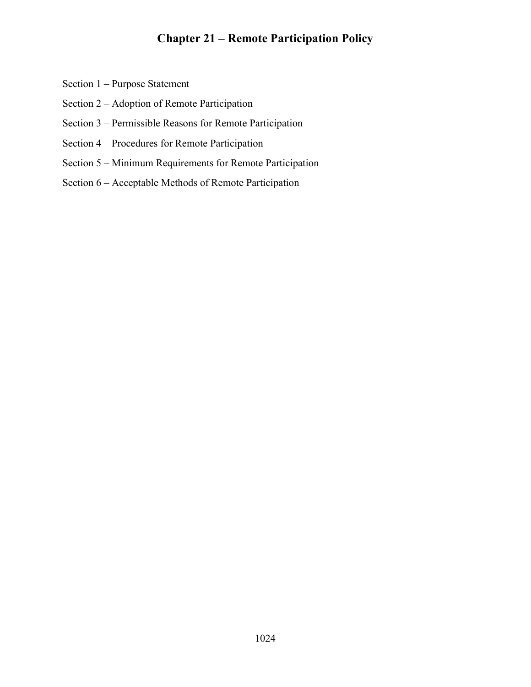## Chapter 21 – Remote Participation Policy

- Section 1 Purpose Statement
- Section 2 Adoption of Remote Participation
- Section 3 Permissible Reasons for Remote Participation
- Section 4 Procedures for Remote Participation
- Section 5 Minimum Requirements for Remote Participation
- Section 6 Acceptable Methods of Remote Participation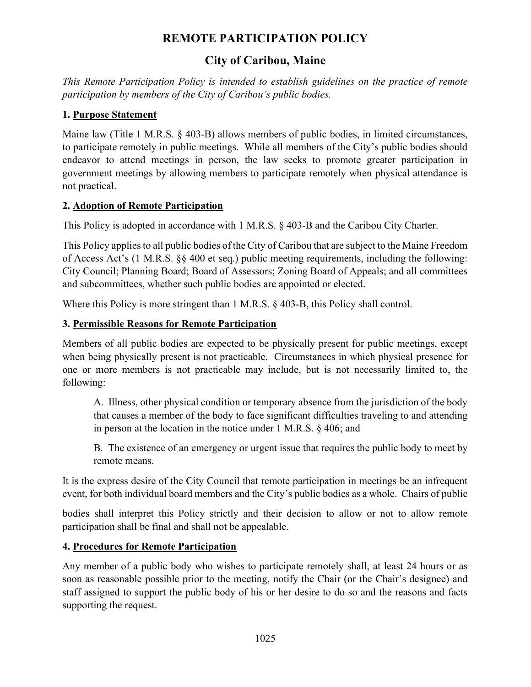# REMOTE PARTICIPATION POLICY

# City of Caribou, Maine

This Remote Participation Policy is intended to establish guidelines on the practice of remote participation by members of the City of Caribou's public bodies.

### 1. Purpose Statement

Maine law (Title 1 M.R.S. § 403-B) allows members of public bodies, in limited circumstances, to participate remotely in public meetings. While all members of the City's public bodies should endeavor to attend meetings in person, the law seeks to promote greater participation in government meetings by allowing members to participate remotely when physical attendance is not practical.

### 2. Adoption of Remote Participation

This Policy is adopted in accordance with 1 M.R.S. § 403-B and the Caribou City Charter.

This Policy applies to all public bodies of the City of Caribou that are subject to the Maine Freedom of Access Act's (1 M.R.S. §§ 400 et seq.) public meeting requirements, including the following: City Council; Planning Board; Board of Assessors; Zoning Board of Appeals; and all committees and subcommittees, whether such public bodies are appointed or elected.

Where this Policy is more stringent than 1 M.R.S.  $\&$  403-B, this Policy shall control.

### 3. Permissible Reasons for Remote Participation

Members of all public bodies are expected to be physically present for public meetings, except when being physically present is not practicable. Circumstances in which physical presence for one or more members is not practicable may include, but is not necessarily limited to, the following:

A. Illness, other physical condition or temporary absence from the jurisdiction of the body that causes a member of the body to face significant difficulties traveling to and attending in person at the location in the notice under 1 M.R.S. § 406; and

B. The existence of an emergency or urgent issue that requires the public body to meet by remote means.

It is the express desire of the City Council that remote participation in meetings be an infrequent event, for both individual board members and the City's public bodies as a whole. Chairs of public

bodies shall interpret this Policy strictly and their decision to allow or not to allow remote participation shall be final and shall not be appealable.

## 4. Procedures for Remote Participation

Any member of a public body who wishes to participate remotely shall, at least 24 hours or as soon as reasonable possible prior to the meeting, notify the Chair (or the Chair's designee) and staff assigned to support the public body of his or her desire to do so and the reasons and facts supporting the request.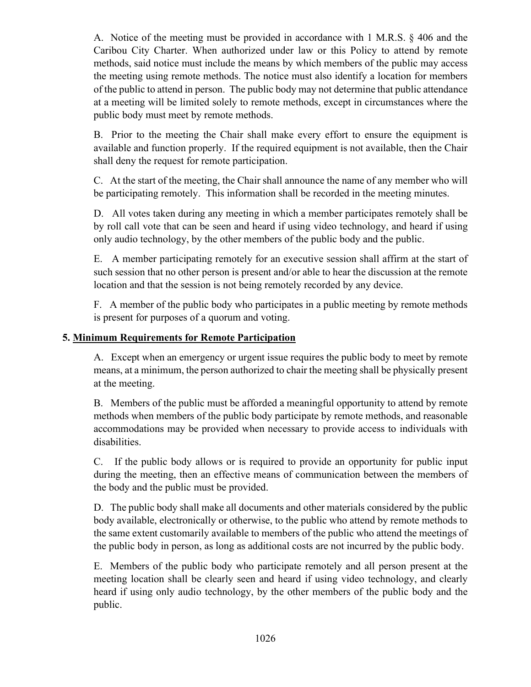A. Notice of the meeting must be provided in accordance with 1 M.R.S. § 406 and the Caribou City Charter. When authorized under law or this Policy to attend by remote methods, said notice must include the means by which members of the public may access the meeting using remote methods. The notice must also identify a location for members of the public to attend in person. The public body may not determine that public attendance at a meeting will be limited solely to remote methods, except in circumstances where the public body must meet by remote methods.

B. Prior to the meeting the Chair shall make every effort to ensure the equipment is available and function properly. If the required equipment is not available, then the Chair shall deny the request for remote participation.

C. At the start of the meeting, the Chair shall announce the name of any member who will be participating remotely. This information shall be recorded in the meeting minutes.

D. All votes taken during any meeting in which a member participates remotely shall be by roll call vote that can be seen and heard if using video technology, and heard if using only audio technology, by the other members of the public body and the public.

E. A member participating remotely for an executive session shall affirm at the start of such session that no other person is present and/or able to hear the discussion at the remote location and that the session is not being remotely recorded by any device.

F. A member of the public body who participates in a public meeting by remote methods is present for purposes of a quorum and voting.

#### 5. Minimum Requirements for Remote Participation

A. Except when an emergency or urgent issue requires the public body to meet by remote means, at a minimum, the person authorized to chair the meeting shall be physically present at the meeting.

B. Members of the public must be afforded a meaningful opportunity to attend by remote methods when members of the public body participate by remote methods, and reasonable accommodations may be provided when necessary to provide access to individuals with disabilities.

C. If the public body allows or is required to provide an opportunity for public input during the meeting, then an effective means of communication between the members of the body and the public must be provided.

D. The public body shall make all documents and other materials considered by the public body available, electronically or otherwise, to the public who attend by remote methods to the same extent customarily available to members of the public who attend the meetings of the public body in person, as long as additional costs are not incurred by the public body.

E. Members of the public body who participate remotely and all person present at the meeting location shall be clearly seen and heard if using video technology, and clearly heard if using only audio technology, by the other members of the public body and the public.